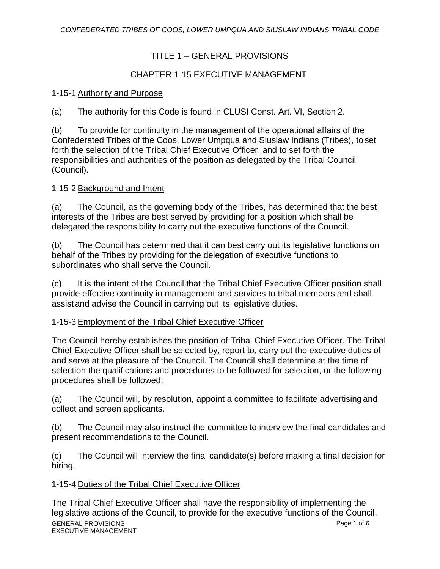# TITLE 1 – GENERAL PROVISIONS

# CHAPTER 1-15 EXECUTIVE MANAGEMENT

## 1-15-1 Authority and Purpose

(a) The authority for this Code is found in CLUSI Const. Art. VI, Section 2.

(b) To provide for continuity in the management of the operational affairs of the Confederated Tribes of the Coos, Lower Umpqua and Siuslaw Indians (Tribes), to set forth the selection of the Tribal Chief Executive Officer, and to set forth the responsibilities and authorities of the position as delegated by the Tribal Council (Council).

## 1-15-2 Background and Intent

(a) The Council, as the governing body of the Tribes, has determined that the best interests of the Tribes are best served by providing for a position which shall be delegated the responsibility to carry out the executive functions of the Council.

(b) The Council has determined that it can best carry out its legislative functions on behalf of the Tribes by providing for the delegation of executive functions to subordinates who shall serve the Council.

(c) It is the intent of the Council that the Tribal Chief Executive Officer position shall provide effective continuity in management and services to tribal members and shall assist and advise the Council in carrying out its legislative duties.

## 1-15-3 Employment of the Tribal Chief Executive Officer

The Council hereby establishes the position of Tribal Chief Executive Officer. The Tribal Chief Executive Officer shall be selected by, report to, carry out the executive duties of and serve at the pleasure of the Council. The Council shall determine at the time of selection the qualifications and procedures to be followed for selection, or the following procedures shall be followed:

(a) The Council will, by resolution, appoint a committee to facilitate advertising and collect and screen applicants.

(b) The Council may also instruct the committee to interview the final candidates and present recommendations to the Council.

(c) The Council will interview the final candidate(s) before making a final decision for hiring.

## 1-15-4 Duties of the Tribal Chief Executive Officer

GENERAL PROVISIONS EXECUTIVE MANAGEMENT Page 1 of 6 The Tribal Chief Executive Officer shall have the responsibility of implementing the legislative actions of the Council, to provide for the executive functions of the Council,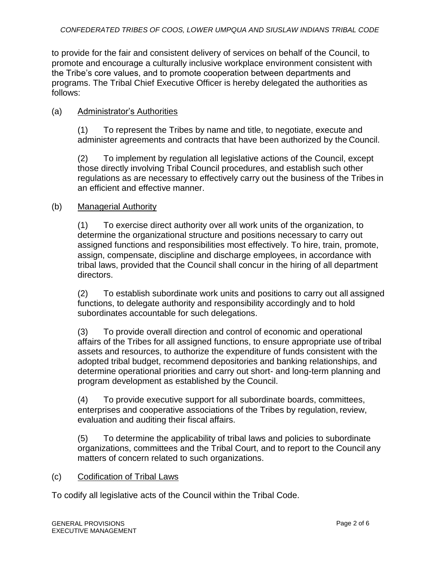to provide for the fair and consistent delivery of services on behalf of the Council, to promote and encourage a culturally inclusive workplace environment consistent with the Tribe's core values, and to promote cooperation between departments and programs. The Tribal Chief Executive Officer is hereby delegated the authorities as follows:

## (a) Administrator's Authorities

(1) To represent the Tribes by name and title, to negotiate, execute and administer agreements and contracts that have been authorized by the Council.

(2) To implement by regulation all legislative actions of the Council, except those directly involving Tribal Council procedures, and establish such other regulations as are necessary to effectively carry out the business of the Tribes in an efficient and effective manner.

## (b) Managerial Authority

(1) To exercise direct authority over all work units of the organization, to determine the organizational structure and positions necessary to carry out assigned functions and responsibilities most effectively. To hire, train, promote, assign, compensate, discipline and discharge employees, in accordance with tribal laws, provided that the Council shall concur in the hiring of all department directors.

(2) To establish subordinate work units and positions to carry out all assigned functions, to delegate authority and responsibility accordingly and to hold subordinates accountable for such delegations.

(3) To provide overall direction and control of economic and operational affairs of the Tribes for all assigned functions, to ensure appropriate use of tribal assets and resources, to authorize the expenditure of funds consistent with the adopted tribal budget, recommend depositories and banking relationships, and determine operational priorities and carry out short- and long-term planning and program development as established by the Council.

(4) To provide executive support for all subordinate boards, committees, enterprises and cooperative associations of the Tribes by regulation, review, evaluation and auditing their fiscal affairs.

(5) To determine the applicability of tribal laws and policies to subordinate organizations, committees and the Tribal Court, and to report to the Council any matters of concern related to such organizations.

#### (c) Codification of Tribal Laws

To codify all legislative acts of the Council within the Tribal Code.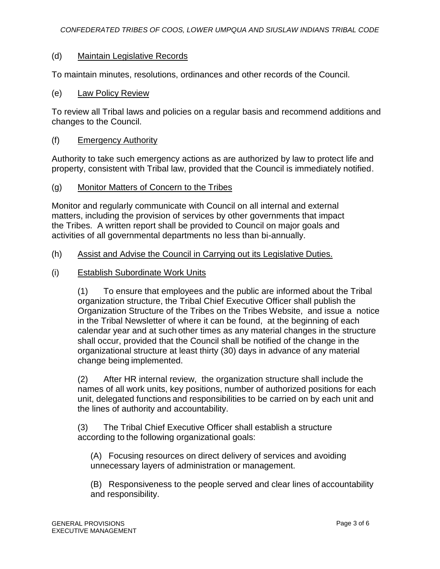## (d) Maintain Legislative Records

To maintain minutes, resolutions, ordinances and other records of the Council.

(e) Law Policy Review

To review all Tribal laws and policies on a regular basis and recommend additions and changes to the Council.

#### (f) Emergency Authority

Authority to take such emergency actions as are authorized by law to protect life and property, consistent with Tribal law, provided that the Council is immediately notified.

## (g) Monitor Matters of Concern to the Tribes

Monitor and regularly communicate with Council on all internal and external matters, including the provision of services by other governments that impact the Tribes. A written report shall be provided to Council on major goals and activities of all governmental departments no less than bi-annually.

## (h) Assist and Advise the Council in Carrying out its Legislative Duties.

(i) Establish Subordinate Work Units

(1) To ensure that employees and the public are informed about the Tribal organization structure, the Tribal Chief Executive Officer shall publish the Organization Structure of the Tribes on the Tribes Website, and issue a notice in the Tribal Newsletter of where it can be found, at the beginning of each calendar year and at such other times as any material changes in the structure shall occur, provided that the Council shall be notified of the change in the organizational structure at least thirty (30) days in advance of any material change being implemented.

(2) After HR internal review, the organization structure shall include the names of all work units, key positions, number of authorized positions for each unit, delegated functions and responsibilities to be carried on by each unit and the lines of authority and accountability.

(3) The Tribal Chief Executive Officer shall establish a structure according to the following organizational goals:

(A) Focusing resources on direct delivery of services and avoiding unnecessary layers of administration or management.

(B) Responsiveness to the people served and clear lines of accountability and responsibility.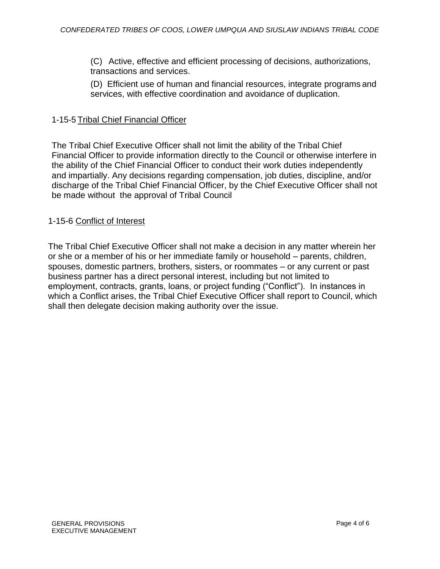(C) Active, effective and efficient processing of decisions, authorizations, transactions and services.

(D) Efficient use of human and financial resources, integrate programs and services, with effective coordination and avoidance of duplication.

## 1-15-5 Tribal Chief Financial Officer

The Tribal Chief Executive Officer shall not limit the ability of the Tribal Chief Financial Officer to provide information directly to the Council or otherwise interfere in the ability of the Chief Financial Officer to conduct their work duties independently and impartially. Any decisions regarding compensation, job duties, discipline, and/or discharge of the Tribal Chief Financial Officer, by the Chief Executive Officer shall not be made without the approval of Tribal Council

## 1-15-6 Conflict of Interest

The Tribal Chief Executive Officer shall not make a decision in any matter wherein her or she or a member of his or her immediate family or household – parents, children, spouses, domestic partners, brothers, sisters, or roommates – or any current or past business partner has a direct personal interest, including but not limited to employment, contracts, grants, loans, or project funding ("Conflict"). In instances in which a Conflict arises, the Tribal Chief Executive Officer shall report to Council, which shall then delegate decision making authority over the issue.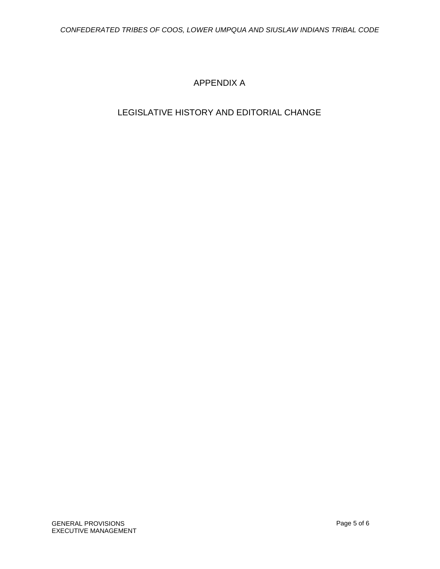# APPENDIX A

# LEGISLATIVE HISTORY AND EDITORIAL CHANGE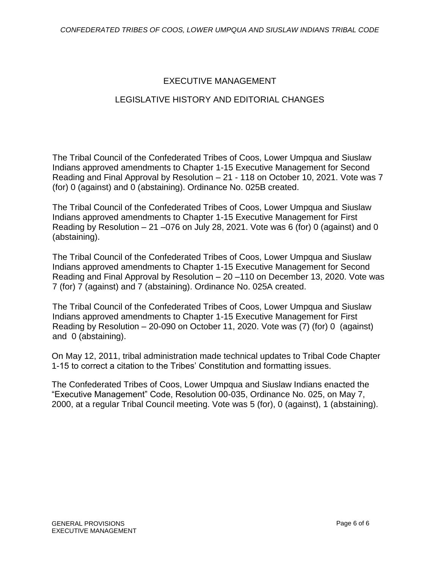# EXECUTIVE MANAGEMENT

# LEGISLATIVE HISTORY AND EDITORIAL CHANGES

The Tribal Council of the Confederated Tribes of Coos, Lower Umpqua and Siuslaw Indians approved amendments to Chapter 1-15 Executive Management for Second Reading and Final Approval by Resolution – 21 - 118 on October 10, 2021. Vote was 7 (for) 0 (against) and 0 (abstaining). Ordinance No. 025B created.

The Tribal Council of the Confederated Tribes of Coos, Lower Umpqua and Siuslaw Indians approved amendments to Chapter 1-15 Executive Management for First Reading by Resolution  $-21 - 076$  on July 28, 2021. Vote was 6 (for) 0 (against) and 0 (abstaining).

The Tribal Council of the Confederated Tribes of Coos, Lower Umpqua and Siuslaw Indians approved amendments to Chapter 1-15 Executive Management for Second Reading and Final Approval by Resolution – 20 –110 on December 13, 2020. Vote was 7 (for) 7 (against) and 7 (abstaining). Ordinance No. 025A created.

The Tribal Council of the Confederated Tribes of Coos, Lower Umpqua and Siuslaw Indians approved amendments to Chapter 1-15 Executive Management for First Reading by Resolution – 20-090 on October 11, 2020. Vote was (7) (for) 0 (against) and 0 (abstaining).

On May 12, 2011, tribal administration made technical updates to Tribal Code Chapter 1-15 to correct a citation to the Tribes' Constitution and formatting issues.

The Confederated Tribes of Coos, Lower Umpqua and Siuslaw Indians enacted the "Executive Management" Code, Resolution 00-035, Ordinance No. 025, on May 7, 2000, at a regular Tribal Council meeting. Vote was 5 (for), 0 (against), 1 (abstaining).